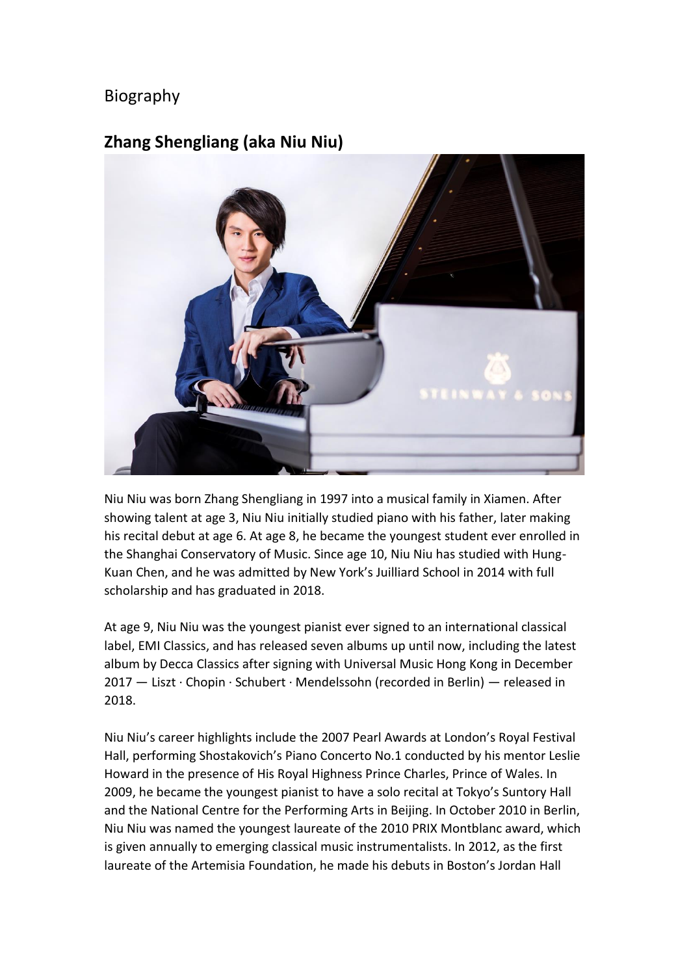## Biography

## **Zhang Shengliang (aka Niu Niu)**



Niu Niu was born Zhang Shengliang in 1997 into a musical family in Xiamen. After showing talent at age 3, Niu Niu initially studied piano with his father, later making his recital debut at age 6. At age 8, he became the youngest student ever enrolled in the Shanghai Conservatory of Music. Since age 10, Niu Niu has studied with Hung-Kuan Chen, and he was admitted by New York's Juilliard School in 2014 with full scholarship and has graduated in 2018.

At age 9, Niu Niu was the youngest pianist ever signed to an international classical label, EMI Classics, and has released seven albums up until now, including the latest album by Decca Classics after signing with Universal Music Hong Kong in December 2017 — Liszt · Chopin · Schubert · Mendelssohn (recorded in Berlin) — released in 2018.

Niu Niu's career highlights include the 2007 Pearl Awards at London's Royal Festival Hall, performing Shostakovich's Piano Concerto No.1 conducted by his mentor Leslie Howard in the presence of His Royal Highness Prince Charles, Prince of Wales. In 2009, he became the youngest pianist to have a solo recital at Tokyo's Suntory Hall and the National Centre for the Performing Arts in Beijing. In October 2010 in Berlin, Niu Niu was named the youngest laureate of the 2010 PRIX Montblanc award, which is given annually to emerging classical music instrumentalists. In 2012, as the first laureate of the Artemisia Foundation, he made his debuts in Boston's Jordan Hall